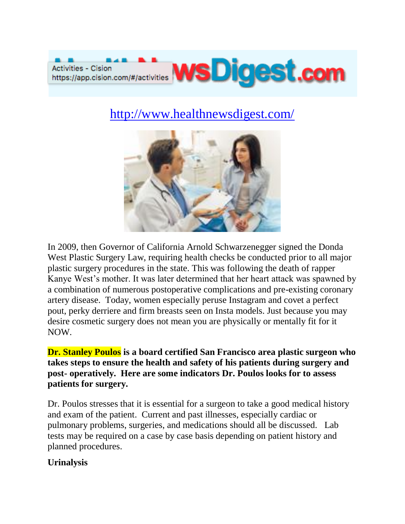

# <http://www.healthnewsdigest.com/>



In 2009, then Governor of California Arnold Schwarzenegger signed the Donda West Plastic Surgery Law, requiring health checks be conducted prior to all major plastic surgery procedures in the state. This was following the death of rapper Kanye West's mother. It was later determined that her heart attack was spawned by a combination of numerous postoperative complications and pre-existing coronary artery disease. Today, women especially peruse Instagram and covet a perfect pout, perky derriere and firm breasts seen on Insta models. Just because you may desire cosmetic surgery does not mean you are physically or mentally fit for it NOW.

**Dr. Stanley Poulos is a board certified San Francisco area plastic surgeon who takes steps to ensure the health and safety of his patients during surgery and post- operatively. Here are some indicators Dr. Poulos looks for to assess patients for surgery.**

Dr. Poulos stresses that it is essential for a surgeon to take a good medical history and exam of the patient. Current and past illnesses, especially cardiac or pulmonary problems, surgeries, and medications should all be discussed. Lab tests may be required on a case by case basis depending on patient history and planned procedures.

### **Urinalysis**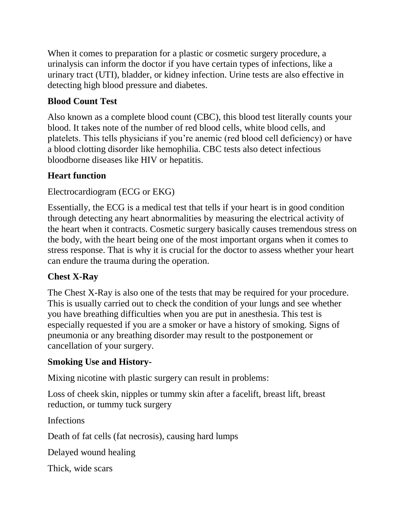When it comes to preparation for a plastic or cosmetic surgery procedure, a urinalysis can inform the doctor if you have certain types of infections, like a urinary tract (UTI), bladder, or kidney infection. Urine tests are also effective in detecting high blood pressure and diabetes.

# **Blood Count Test**

Also known as a complete blood count (CBC), this blood test literally counts your blood. It takes note of the number of red blood cells, white blood cells, and platelets. This tells physicians if you're anemic (red blood cell deficiency) or have a blood clotting disorder like hemophilia. CBC tests also detect infectious bloodborne diseases like HIV or hepatitis.

# **Heart function**

Electrocardiogram (ECG or EKG)

Essentially, the ECG is a medical test that tells if your heart is in good condition through detecting any heart abnormalities by measuring the electrical activity of the heart when it contracts. Cosmetic surgery basically causes tremendous stress on the body, with the heart being one of the most important organs when it comes to stress response. That is why it is crucial for the doctor to assess whether your heart can endure the trauma during the operation.

# **Chest X-Ray**

The Chest X-Ray is also one of the tests that may be required for your procedure. This is usually carried out to check the condition of your lungs and see whether you have breathing difficulties when you are put in anesthesia. This test is especially requested if you are a smoker or have a history of smoking. Signs of pneumonia or any breathing disorder may result to the postponement or cancellation of your surgery.

### **Smoking Use and History-**

Mixing nicotine with plastic surgery can result in problems:

Loss of cheek skin, nipples or tummy skin after a facelift, breast lift, breast reduction, or tummy tuck surgery

Infections

Death of fat cells (fat necrosis), causing hard lumps

Delayed wound healing

Thick, wide scars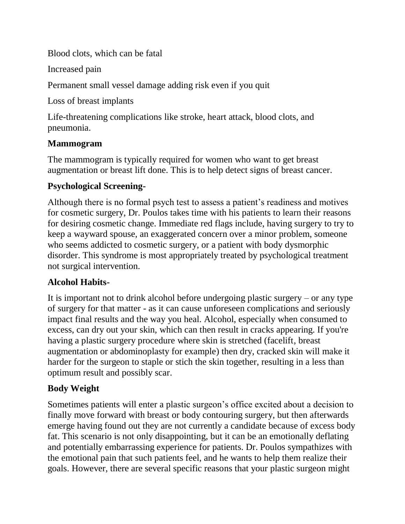Blood clots, which can be fatal

Increased pain

Permanent small vessel damage adding risk even if you quit

Loss of breast implants

Life-threatening complications like stroke, heart attack, blood clots, and pneumonia.

## **Mammogram**

The mammogram is typically required for women who want to get breast augmentation or breast lift done. This is to help detect signs of breast cancer.

## **Psychological Screening-**

Although there is no formal psych test to assess a patient's readiness and motives for cosmetic surgery, Dr. Poulos takes time with his patients to learn their reasons for desiring cosmetic change. Immediate red flags include, having surgery to try to keep a wayward spouse, an exaggerated concern over a minor problem, someone who seems addicted to cosmetic surgery, or a patient with body dysmorphic disorder. This syndrome is most appropriately treated by psychological treatment not surgical intervention.

# **Alcohol Habits-**

It is important not to drink alcohol before undergoing plastic surgery – or any type of surgery for that matter - as it can cause unforeseen complications and seriously impact final results and the way you heal. Alcohol, especially when consumed to excess, can dry out your skin, which can then result in cracks appearing. If you're having a plastic surgery procedure where skin is stretched (facelift, breast augmentation or abdominoplasty for example) then dry, cracked skin will make it harder for the surgeon to staple or stich the skin together, resulting in a less than optimum result and possibly scar.

# **Body Weight**

Sometimes patients will enter a plastic surgeon's office excited about a decision to finally move forward with breast or body contouring surgery, but then afterwards emerge having found out they are not currently a candidate because of excess body fat. This scenario is not only disappointing, but it can be an emotionally deflating and potentially embarrassing experience for patients. Dr. Poulos sympathizes with the emotional pain that such patients feel, and he wants to help them realize their goals. However, there are several specific reasons that your plastic surgeon might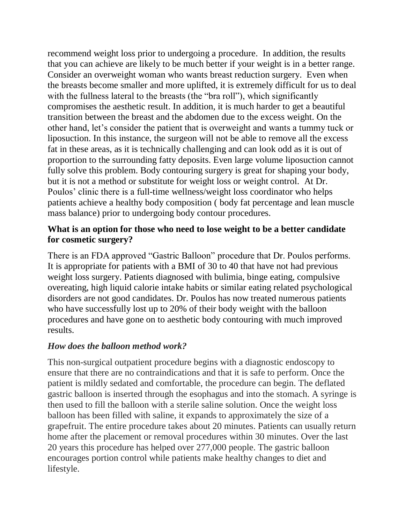recommend weight loss prior to undergoing a procedure. In addition, the results that you can achieve are likely to be much better if your weight is in a better range. Consider an overweight woman who wants breast reduction surgery. Even when the breasts become smaller and more uplifted, it is extremely difficult for us to deal with the fullness lateral to the breasts (the "bra roll"), which significantly compromises the aesthetic result. In addition, it is much harder to get a beautiful transition between the breast and the abdomen due to the excess weight. On the other hand, let's consider the patient that is overweight and wants a tummy tuck or liposuction. In this instance, the surgeon will not be able to remove all the excess fat in these areas, as it is technically challenging and can look odd as it is out of proportion to the surrounding fatty deposits. Even large volume liposuction cannot fully solve this problem. Body contouring surgery is great for shaping your body, but it is not a method or substitute for weight loss or weight control. At Dr. Poulos' clinic there is a full-time wellness/weight loss coordinator who helps patients achieve a healthy body composition ( body fat percentage and lean muscle mass balance) prior to undergoing body contour procedures.

### **What is an option for those who need to lose weight to be a better candidate for cosmetic surgery?**

There is an FDA approved "Gastric Balloon" procedure that Dr. Poulos performs. It is appropriate for patients with a BMI of 30 to 40 that have not had previous weight loss surgery. Patients diagnosed with bulimia, binge eating, compulsive overeating, high liquid calorie intake habits or similar eating related psychological disorders are not good candidates. Dr. Poulos has now treated numerous patients who have successfully lost up to 20% of their body weight with the balloon procedures and have gone on to aesthetic body contouring with much improved results.

### *How does the balloon method work?*

This non-surgical outpatient procedure begins with a diagnostic endoscopy to ensure that there are no contraindications and that it is safe to perform. Once the patient is mildly sedated and comfortable, the procedure can begin. The deflated gastric balloon is inserted through the esophagus and into the stomach. A syringe is then used to fill the balloon with a sterile saline solution. Once the weight loss balloon has been filled with saline, it expands to approximately the size of a grapefruit. The entire procedure takes about 20 minutes. Patients can usually return home after the placement or removal procedures within 30 minutes. Over the last 20 years this procedure has helped over 277,000 people. The gastric balloon encourages portion control while patients make healthy changes to diet and lifestyle.